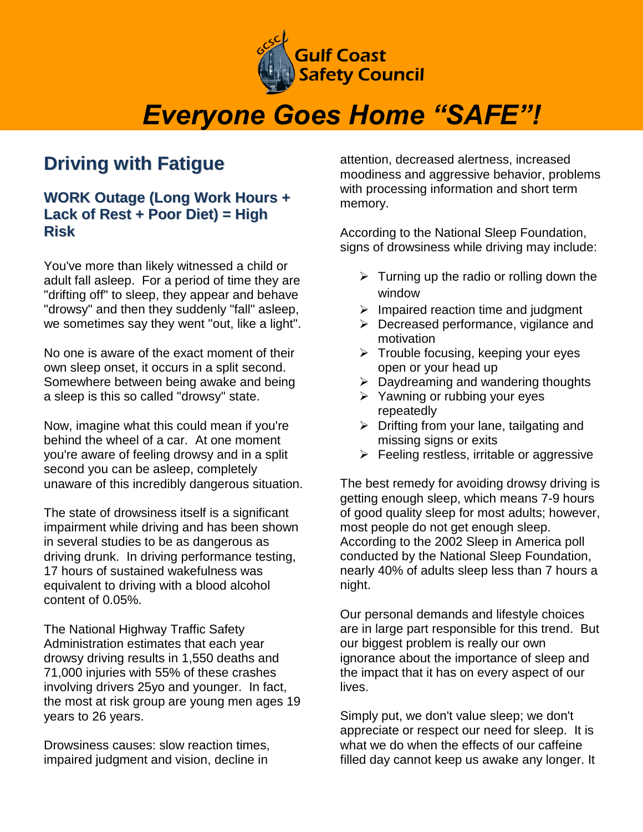

## *Everyone Goes Home "SAFE"!*

## **Driving with Fatigue**

## **WORK Outage (Long Work Hours + Lack of Rest + Poor Diet) = High Risk**

You've more than likely witnessed a child or adult fall asleep. For a period of time they are "drifting off" to sleep, they appear and behave "drowsy" and then they suddenly "fall" asleep, we sometimes say they went "out, like a light".

No one is aware of the exact moment of their own sleep onset, it occurs in a split second. Somewhere between being awake and being a sleep is this so called "drowsy" state.

Now, imagine what this could mean if you're behind the wheel of a car. At one moment you're aware of feeling drowsy and in a split second you can be asleep, completely unaware of this incredibly dangerous situation.

The state of drowsiness itself is a significant impairment while driving and has been shown in several studies to be as dangerous as driving drunk. In driving performance testing, 17 hours of sustained wakefulness was equivalent to driving with a blood alcohol content of 0.05%.

The National Highway Traffic Safety Administration estimates that each year drowsy driving results in 1,550 deaths and 71,000 injuries with 55% of these crashes involving drivers 25yo and younger. In fact, the most at risk group are young men ages 19 years to 26 years.

Drowsiness causes: slow reaction times, impaired judgment and vision, decline in attention, decreased alertness, increased moodiness and aggressive behavior, problems with processing information and short term memory.

According to the National Sleep Foundation, signs of drowsiness while driving may include:

- $\triangleright$  Turning up the radio or rolling down the window
- $\triangleright$  Impaired reaction time and judgment
- $\triangleright$  Decreased performance, vigilance and motivation
- $\triangleright$  Trouble focusing, keeping your eyes open or your head up
- $\triangleright$  Daydreaming and wandering thoughts
- $\triangleright$  Yawning or rubbing your eyes repeatedly
- $\triangleright$  Drifting from your lane, tailgating and missing signs or exits
- $\triangleright$  Feeling restless, irritable or aggressive

The best remedy for avoiding drowsy driving is getting enough sleep, which means 7-9 hours of good quality sleep for most adults; however, most people do not get enough sleep. According to the 2002 Sleep in America poll conducted by the National Sleep Foundation, nearly 40% of adults sleep less than 7 hours a night.

Our personal demands and lifestyle choices are in large part responsible for this trend. But our biggest problem is really our own ignorance about the importance of sleep and the impact that it has on every aspect of our lives.

Simply put, we don't value sleep; we don't appreciate or respect our need for sleep. It is what we do when the effects of our caffeine filled day cannot keep us awake any longer. It